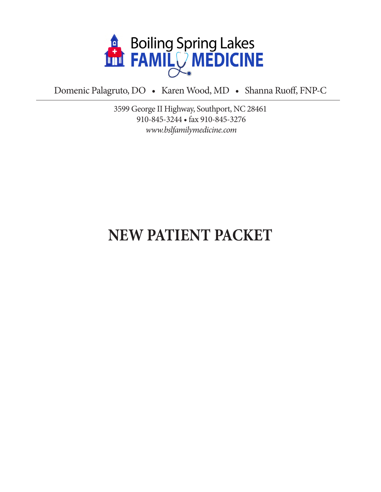

Domenic Palagruto, DO • Karen Wood, MD • Shanna Ruoff, FNP-C

3599 George II Highway, Southport, NC 28461 910-845-3244 • fax 910-845-3276 *www.bslfamilymedicine.com*

# **NEW PATIENT PACKET**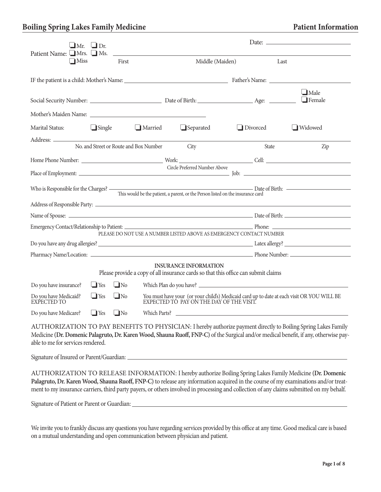| $\Box$ Mr. $\Box$ Dr.                                                                                                                                                                                                                                                                       |               |                                        |                               |          | Date: $\frac{1}{2}$                                                                                                                                                                                                                                                                                                                                                                          |  |  |
|---------------------------------------------------------------------------------------------------------------------------------------------------------------------------------------------------------------------------------------------------------------------------------------------|---------------|----------------------------------------|-------------------------------|----------|----------------------------------------------------------------------------------------------------------------------------------------------------------------------------------------------------------------------------------------------------------------------------------------------------------------------------------------------------------------------------------------------|--|--|
| Patient Name: Mrs. Ns.<br>$\Box$ Miss                                                                                                                                                                                                                                                       |               | First                                  | Middle (Maiden)               |          | Last                                                                                                                                                                                                                                                                                                                                                                                         |  |  |
|                                                                                                                                                                                                                                                                                             |               |                                        |                               |          |                                                                                                                                                                                                                                                                                                                                                                                              |  |  |
|                                                                                                                                                                                                                                                                                             |               |                                        |                               |          | $\Box$ Male<br>$\Box$ Female                                                                                                                                                                                                                                                                                                                                                                 |  |  |
|                                                                                                                                                                                                                                                                                             |               |                                        |                               |          |                                                                                                                                                                                                                                                                                                                                                                                              |  |  |
| Marital Status:                                                                                                                                                                                                                                                                             | $\Box$ Single | $\Box$ Married                         | $\Box$ Separated              | Divorced | $\Box$ Widowed                                                                                                                                                                                                                                                                                                                                                                               |  |  |
|                                                                                                                                                                                                                                                                                             |               | No. and Street or Route and Box Number | City                          | State    | Zip                                                                                                                                                                                                                                                                                                                                                                                          |  |  |
|                                                                                                                                                                                                                                                                                             |               |                                        |                               |          |                                                                                                                                                                                                                                                                                                                                                                                              |  |  |
|                                                                                                                                                                                                                                                                                             |               |                                        | Circle Preferred Number Above |          |                                                                                                                                                                                                                                                                                                                                                                                              |  |  |
| Date of Birth:<br>Who is Responsible for the Charges? -<br>This would be the patient, a parent, or the Person listed on the insurance card                                                                                                                                                  |               |                                        |                               |          |                                                                                                                                                                                                                                                                                                                                                                                              |  |  |
|                                                                                                                                                                                                                                                                                             |               |                                        |                               |          |                                                                                                                                                                                                                                                                                                                                                                                              |  |  |
|                                                                                                                                                                                                                                                                                             |               |                                        |                               |          |                                                                                                                                                                                                                                                                                                                                                                                              |  |  |
|                                                                                                                                                                                                                                                                                             |               |                                        |                               |          |                                                                                                                                                                                                                                                                                                                                                                                              |  |  |
| PLEASE DO NOT USE A NUMBER LISTED ABOVE AS EMERGENCY CONTACT NUMBER                                                                                                                                                                                                                         |               |                                        |                               |          |                                                                                                                                                                                                                                                                                                                                                                                              |  |  |
|                                                                                                                                                                                                                                                                                             |               |                                        |                               |          |                                                                                                                                                                                                                                                                                                                                                                                              |  |  |
| <b>INSURANCE INFORMATION</b><br>Please provide a copy of all insurance cards so that this office can submit claims                                                                                                                                                                          |               |                                        |                               |          |                                                                                                                                                                                                                                                                                                                                                                                              |  |  |
| Do you have insurance?                                                                                                                                                                                                                                                                      | $\Box$ Yes    | $\Box$ No                              |                               |          |                                                                                                                                                                                                                                                                                                                                                                                              |  |  |
| Do you have Medicaid?<br>EXPECTED TO                                                                                                                                                                                                                                                        | $\Box$ Yes    | $\Box$ No                              |                               |          | You must have your (or your child's) Medicaid card up to date at each visit OR YOU WILL BE EXPECTED TO PAY ON THE DAY OF THE VISIT.                                                                                                                                                                                                                                                          |  |  |
| Do you have Medicare? $\Box$ Yes $\Box$ No                                                                                                                                                                                                                                                  |               | Which Parts?                           |                               |          |                                                                                                                                                                                                                                                                                                                                                                                              |  |  |
| AUTHORIZATION TO PAY BENEFITS TO PHYSICIAN: I hereby authorize payment directly to Boiling Spring Lakes Family<br>Medicine (Dr. Domenic Palagruto, Dr. Karen Wood, Shauna Ruoff, FNP-C) of the Surgical and/or medical benefit, if any, otherwise pay-<br>able to me for services rendered. |               |                                        |                               |          |                                                                                                                                                                                                                                                                                                                                                                                              |  |  |
|                                                                                                                                                                                                                                                                                             |               |                                        |                               |          |                                                                                                                                                                                                                                                                                                                                                                                              |  |  |
| Signature of Patient or Parent or Guardian: Manual Community of Patient or Parent or Guardian:                                                                                                                                                                                              |               |                                        |                               |          | AUTHORIZATION TO RELEASE INFORMATION: I hereby authorize Boiling Spring Lakes Family Medicine (Dr. Domenic<br>Palagruto, Dr. Karen Wood, Shauna Ruoff, FNP-C) to release any information acquired in the course of my examinations and/or treat-<br>ment to my insurance carriers, third party payers, or others involved in processing and collection of any claims submitted on my behalf. |  |  |

We invite you to frankly discuss any questions you have regarding services provided by this office at any time. Good medical care is based on a mutual understanding and open communication between physician and patient.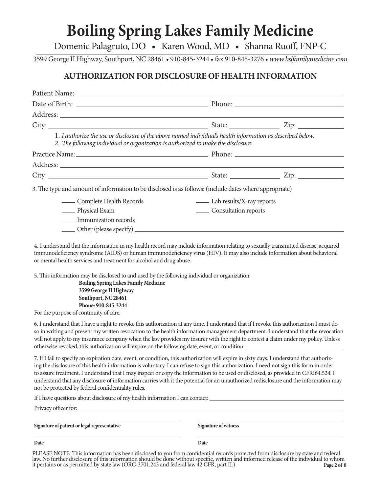Domenic Palagruto, DO • Karen Wood, MD • Shanna Ruoff, FNP-C

3599 George II Highway, Southport, NC 28461 • 910-845-3244 • fax 910-845-3276 • *www.bslfamilymedicine.com*

### **AUTHORIZATION FOR DISCLOSURE OF HEALTH INFORMATION**

|                                                                                                                                                                                                  |                                  | State: $\qquad \qquad \text{Zip: } \qquad \qquad$ |
|--------------------------------------------------------------------------------------------------------------------------------------------------------------------------------------------------|----------------------------------|---------------------------------------------------|
| 1. I authorize the use or disclosure of the above named individual's health information as described below.<br>2. The following individual or organization is authorized to make the disclosure: |                                  |                                                   |
|                                                                                                                                                                                                  |                                  |                                                   |
|                                                                                                                                                                                                  |                                  |                                                   |
|                                                                                                                                                                                                  |                                  |                                                   |
| 3. The type and amount of information to be disclosed is as follows: (include dates where appropriate)                                                                                           |                                  |                                                   |
| - Complete Health Records                                                                                                                                                                        | <u>Lab</u> results/X-ray reports |                                                   |
| _______ Physical Exam                                                                                                                                                                            | Consultation reports             |                                                   |
| Immunization records                                                                                                                                                                             |                                  |                                                   |
|                                                                                                                                                                                                  |                                  |                                                   |

4. I understand that the information in my health record may include information relating to sexually transmitted disease, acquired immunodeficiency syndrome (AIDS) or human immunodeficiency virus (HIV). It may also include information about behavioral or mental health services and treatment for alcohol and drug abuse.

5. This information may be disclosed to and used by the following individual or organization:

 **Boiling Spring Lakes Family Medicine 3599 George II Highway Southport, NC 28461 Phone: 910-845-3244**

For the purpose of continuity of care.

6. I understand that I have a right to revoke this authorization at any time. I understand that if I revoke this authorization I must do so in writing and present my written revocation to the health information management department. I understand that the revocation will not apply to my insurance company when the law provides my insurer with the right to contest a claim under my policy. Unless otherwise revoked, this authorization will expire on the following date, event, or condition:

7. If I fail to specify an expiration date, event, or condition, this authorization will expire in sixty days. I understand that authorizing the disclosure of this health information is voluntary. I can refuse to sign this authorization. I need not sign this form in order to assure treatment. I understand that I may inspect or copy the information to be used or disclosed, as provided in CFRI64.524. I understand that any disclosure of information carries with it the potential for an unauthorized redisclosure and the information may not be protected by federal confidentiality rules.

If I have questions about disclosure of my health information I can contact:

Privacy officer for:

**Signature of patient or legal representative**

**Signature of witness**

**Date Date**

PLEASE NOTE: This information has been disclosed to you from confidential records protected from disclosure by state and federal law. No further disclosure of this information should be done without specific, written and informed release of the individual to whom it pertains or as permitted by state law (ORC-3701.243 and federal law 42 CFR, part II.) **Page 2 of 8**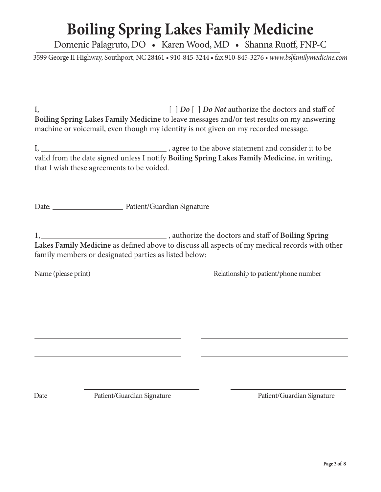Domenic Palagruto, DO • Karen Wood, MD • Shanna Ruoff, FNP-C

3599 George II Highway, Southport, NC 28461 • 910-845-3244 • fax 910-845-3276 • *www.bslfamilymedicine.com*

I, [ ] *Do* [ ] *Do Not* authorize the doctors and staff of **Boiling Spring Lakes Family Medicine** to leave messages and/or test results on my answering machine or voicemail, even though my identity is not given on my recorded message.

I, , agree to the above statement and consider it to be valid from the date signed unless I notify **Boiling Spring Lakes Family Medicine**, in writing, that I wish these agreements to be voided.

Date: Patient/Guardian Signature

1, , authorize the doctors and staff of **Boiling Spring Lakes Family Medicine** as defined above to discuss all aspects of my medical records with other family members or designated parties as listed below:

Name (please print) Relationship to patient/phone number

Date Patient/Guardian Signature Patient/Guardian Signature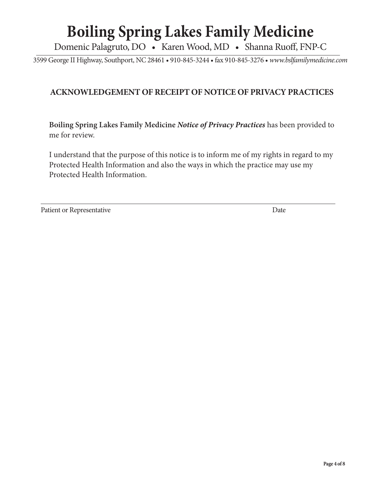Domenic Palagruto, DO • Karen Wood, MD • Shanna Ruoff, FNP-C

3599 George II Highway, Southport, NC 28461 • 910-845-3244 • fax 910-845-3276 • *www.bslfamilymedicine.com*

### **ACKNOWLEDGEMENT OF RECEIPT OF NOTICE OF PRIVACY PRACTICES**

**Boiling Spring Lakes Family Medicine** *Notice of Privacy Practices* has been provided to me for review.

I understand that the purpose of this notice is to inform me of my rights in regard to my Protected Health Information and also the ways in which the practice may use my Protected Health Information.

Patient or Representative Date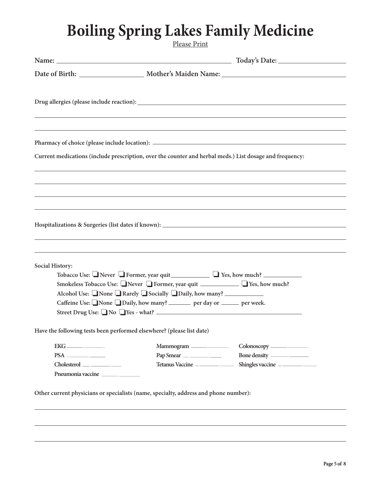Please Print

| Current medications (include prescription, over the counter and herbal meds.) List dosage and frequency:                                      |
|-----------------------------------------------------------------------------------------------------------------------------------------------|
| ,我们也不会有什么。""我们的人,我们也不会有什么?""我们的人,我们也不会有什么?""我们的人,我们也不会有什么?""我们的人,我们也不会有什么?""我们的人                                                              |
|                                                                                                                                               |
|                                                                                                                                               |
| Hospitalizations & Surgeries (list dates if known):                                                                                           |
|                                                                                                                                               |
|                                                                                                                                               |
|                                                                                                                                               |
| Tobacco Use: Never Former, year quit Theorem C Yes, how much?<br>Smokeless Tobacco Use: Never I Former, year quit __________ I Yes, how much? |
| Alcohol Use: None Rarely Socially Daily, how many?                                                                                            |
| Caffeine Use: None Daily, how many? _______ per day or _____ per week.                                                                        |
| Street Drug Use: No Yes - what?                                                                                                               |
| Have the following tests been performed elsewhere? (please list date)                                                                         |
| Mammogram                                                                                                                                     |
| Pap Smear                                                                                                                                     |
| Tetanus Vaccine<br>Shingles vaccine                                                                                                           |
|                                                                                                                                               |
|                                                                                                                                               |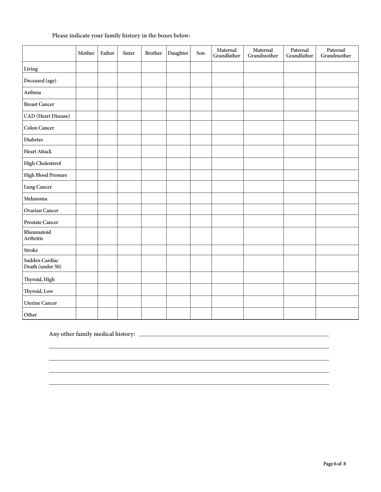|                                    | Mother | Father | <b>Sister</b> | <b>Brother</b> | Daughter | Son | Maternal<br>Grandfather | Maternal<br>Grandmother | Paternal<br>Grandfather | Paternal<br>Grandmother |
|------------------------------------|--------|--------|---------------|----------------|----------|-----|-------------------------|-------------------------|-------------------------|-------------------------|
| Living                             |        |        |               |                |          |     |                         |                         |                         |                         |
| Deceased (age)                     |        |        |               |                |          |     |                         |                         |                         |                         |
| Asthma                             |        |        |               |                |          |     |                         |                         |                         |                         |
| <b>Breast Cancer</b>               |        |        |               |                |          |     |                         |                         |                         |                         |
| CAD (Heart Disease)                |        |        |               |                |          |     |                         |                         |                         |                         |
| <b>Colon Cancer</b>                |        |        |               |                |          |     |                         |                         |                         |                         |
| <b>Diabetes</b>                    |        |        |               |                |          |     |                         |                         |                         |                         |
| <b>Heart Attack</b>                |        |        |               |                |          |     |                         |                         |                         |                         |
| <b>High Cholesterol</b>            |        |        |               |                |          |     |                         |                         |                         |                         |
| <b>High Blood Pressure</b>         |        |        |               |                |          |     |                         |                         |                         |                         |
| Lung Cancer                        |        |        |               |                |          |     |                         |                         |                         |                         |
| Melanoma                           |        |        |               |                |          |     |                         |                         |                         |                         |
| <b>Ovarian Cancer</b>              |        |        |               |                |          |     |                         |                         |                         |                         |
| <b>Prostate Cancer</b>             |        |        |               |                |          |     |                         |                         |                         |                         |
| Rheumatoid<br>Arthritis            |        |        |               |                |          |     |                         |                         |                         |                         |
| <b>Stroke</b>                      |        |        |               |                |          |     |                         |                         |                         |                         |
| Sudden Cardiac<br>Death (under 50) |        |        |               |                |          |     |                         |                         |                         |                         |
| Thyroid, High                      |        |        |               |                |          |     |                         |                         |                         |                         |
| Thyroid, Low                       |        |        |               |                |          |     |                         |                         |                         |                         |
| <b>Uterine Cancer</b>              |        |        |               |                |          |     |                         |                         |                         |                         |
| Other                              |        |        |               |                |          |     |                         |                         |                         |                         |

### **Please indicate your family history in the boxes below:**

**Any other family medical history:**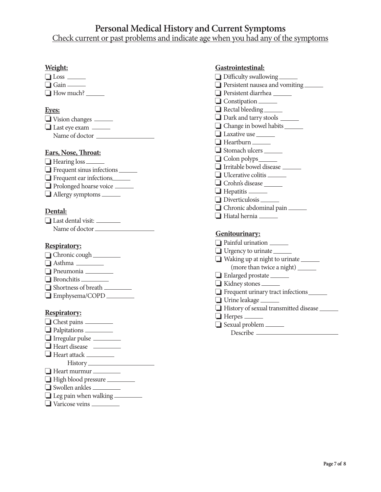### **Personal Medical History and Current Symptoms**

Check current or past problems and indicate age when you had any of the symptoms

#### **Weight:**

| $\Box$ Loss $\Box$ |  |
|--------------------|--|
| $\Box$ Gain        |  |
| $\Box$ How much?   |  |

#### **Eyes:**

| $\Box$ Vision changes $\Box$ |  |
|------------------------------|--|
| $\Box$ Last eye exam -       |  |
| Name of doctor               |  |

#### **Ears, Nose, Throat:**

| $\Box$ Hearing loss              |  |
|----------------------------------|--|
| $\Box$ Frequent sinus infections |  |
| $\Box$ Frequent ear infections   |  |
| Prolonged hoarse voice           |  |
| $\Box$ Allergy symptoms          |  |

#### **Dental:**

| $\Box$ Last dental visit: $\_$ |  |
|--------------------------------|--|
| Name of doctor                 |  |

#### **Respiratory:**

- □ Chronic cough
- Asthma ❏
- Pneumonia ❏
- Bronchitis ❏
- Shortness of breath ❏ Emphysema/COPD ❏

#### **Respiratory:**

- **□** Chest pains Palpitations ❏ **□** Irregular pulse Heart disease ❏ Heart attack ❏ History
- Heart murmur ❏
- High blood pressure ❏
- Swollen ankles ❏
- **□** Leg pain when walking
- Varicose veins ❏

| Gastrointestinal:                     |
|---------------------------------------|
| <b>Difficulty swallowing</b>          |
| Persistent nausea and vomiting        |
| Persistent diarrhea                   |
| $\Box$ Constipation $\Box$            |
| Rectal bleeding                       |
| $\Box$ Dark and tarry stools $\Box$   |
| Change in bowel habits _______        |
| $\Box$ Laxative use $\Box$            |
| $\Box$ Heartburn $\_\_$               |
| $\Box$ Stomach ulcers $\Box$          |
| $\Box$ Colon polyps $\_\_\_\_\_\$     |
| $\Box$ Irritable bowel disease $\_\_$ |
| Ulcerative colitis                    |
| Crohn's disease                       |
| $\Box$ Hepatitis $\_\_\_\_\_\$        |
| Diverticulosis                        |
|                                       |

- Chronic abdominal pain ❏
- Hiatal hernia ❏

#### **Genitourinary:**

| Painful urination                               |
|-------------------------------------------------|
| $\Box$ Urgency to urinate $\Box$                |
| $\Box$ Waking up at night to urinate $\Box$     |
| (more than twice a night) ______                |
| $\Box$ Enlarged prostate $\Box$                 |
| $\Box$ Kidney stones $\Box$                     |
| $\Box$ Frequent urinary tract infections $\Box$ |
| $\Box$ Urine leakage $\Box$                     |
| History of sexual transmitted disease           |
| $\Box$ Herpes $\_\_$                            |
| $\Box$ Sexual problem                           |

Describe —